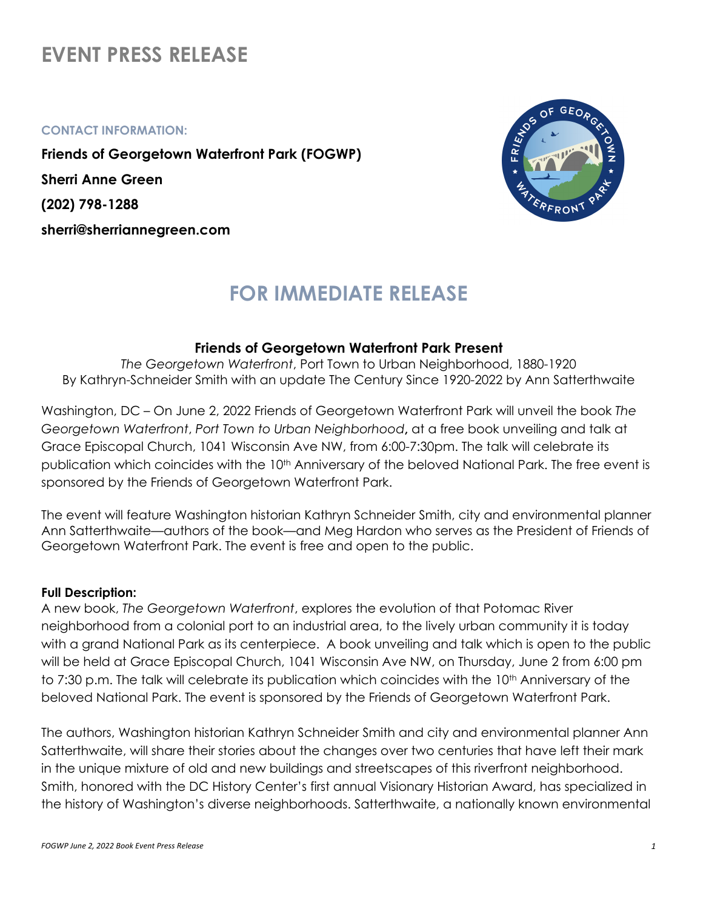# **EVENT PRESS RELEASE**

#### **CONTACT INFORMATION:**

**Friends of Georgetown Waterfront Park (FOGWP) Sherri Anne Green (202) 798-1288 sherri@sherriannegreen.com**



# **FOR IMMEDIATE RELEASE**

# **Friends of Georgetown Waterfront Park Present**

*The Georgetown Waterfront*, Port Town to Urban Neighborhood, 1880-1920 By Kathryn-Schneider Smith with an update The Century Since 1920-2022 by Ann Satterthwaite

Washington, DC – On June 2, 2022 Friends of Georgetown Waterfront Park will unveil the book *The Georgetown Waterfront*, *Port Town to Urban Neighborhood***,** at a free book unveiling and talk at Grace Episcopal Church, 1041 Wisconsin Ave NW, from 6:00-7:30pm. The talk will celebrate its publication which coincides with the 10<sup>th</sup> Anniversary of the beloved National Park. The free event is sponsored by the Friends of Georgetown Waterfront Park.

The event will feature Washington historian Kathryn Schneider Smith, city and environmental planner Ann Satterthwaite—authors of the book—and Meg Hardon who serves as the President of Friends of Georgetown Waterfront Park. The event is free and open to the public.

### **Full Description:**

A new book, *The Georgetown Waterfront*, explores the evolution of that Potomac River neighborhood from a colonial port to an industrial area, to the lively urban community it is today with a grand National Park as its centerpiece. A book unveiling and talk which is open to the public will be held at Grace Episcopal Church, 1041 Wisconsin Ave NW, on Thursday, June 2 from 6:00 pm to 7:30 p.m. The talk will celebrate its publication which coincides with the 10<sup>th</sup> Anniversary of the beloved National Park. The event is sponsored by the Friends of Georgetown Waterfront Park.

The authors, Washington historian Kathryn Schneider Smith and city and environmental planner Ann Satterthwaite, will share their stories about the changes over two centuries that have left their mark in the unique mixture of old and new buildings and streetscapes of this riverfront neighborhood. Smith, honored with the DC History Center's first annual Visionary Historian Award, has specialized in the history of Washington's diverse neighborhoods. Satterthwaite, a nationally known environmental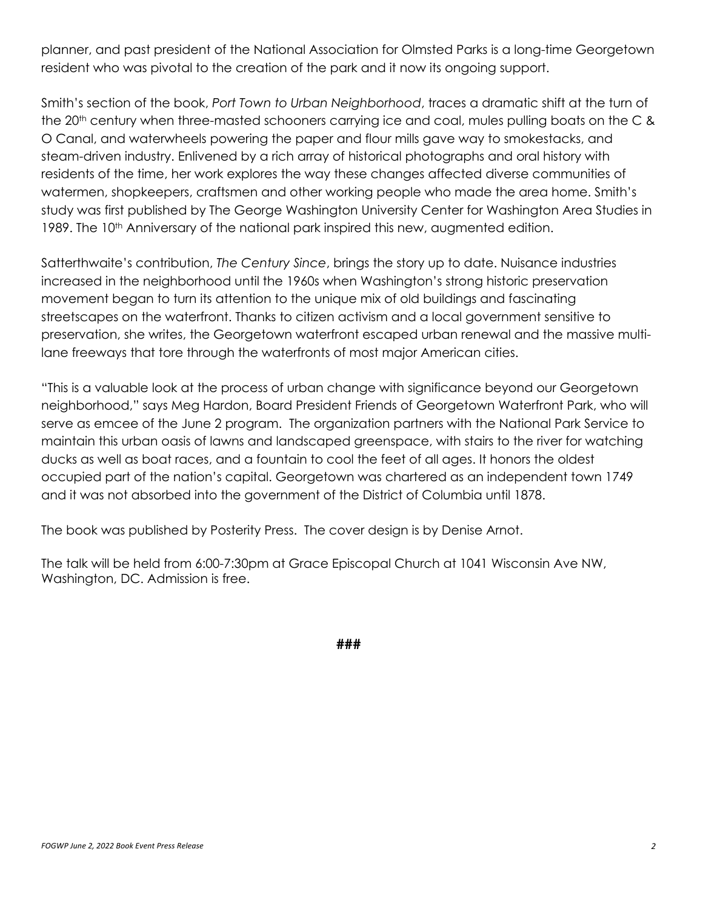planner, and past president of the National Association for Olmsted Parks is a long-time Georgetown resident who was pivotal to the creation of the park and it now its ongoing support.

Smith's section of the book, *Port Town to Urban Neighborhood*, traces a dramatic shift at the turn of the 20<sup>th</sup> century when three-masted schooners carrying ice and coal, mules pulling boats on the C & O Canal, and waterwheels powering the paper and flour mills gave way to smokestacks, and steam-driven industry. Enlivened by a rich array of historical photographs and oral history with residents of the time, her work explores the way these changes affected diverse communities of watermen, shopkeepers, craftsmen and other working people who made the area home. Smith's study was first published by The George Washington University Center for Washington Area Studies in 1989. The 10<sup>th</sup> Anniversary of the national park inspired this new, augmented edition.

Satterthwaite's contribution, *The Century Since*, brings the story up to date. Nuisance industries increased in the neighborhood until the 1960s when Washington's strong historic preservation movement began to turn its attention to the unique mix of old buildings and fascinating streetscapes on the waterfront. Thanks to citizen activism and a local government sensitive to preservation, she writes, the Georgetown waterfront escaped urban renewal and the massive multilane freeways that tore through the waterfronts of most major American cities.

"This is a valuable look at the process of urban change with significance beyond our Georgetown neighborhood," says Meg Hardon, Board President Friends of Georgetown Waterfront Park, who will serve as emcee of the June 2 program. The organization partners with the National Park Service to maintain this urban oasis of lawns and landscaped greenspace, with stairs to the river for watching ducks as well as boat races, and a fountain to cool the feet of all ages. It honors the oldest occupied part of the nation's capital. Georgetown was chartered as an independent town 1749 and it was not absorbed into the government of the District of Columbia until 1878.

The book was published by Posterity Press. The cover design is by Denise Arnot.

The talk will be held from 6:00-7:30pm at Grace Episcopal Church at 1041 Wisconsin Ave NW, Washington, DC. Admission is free.

**###**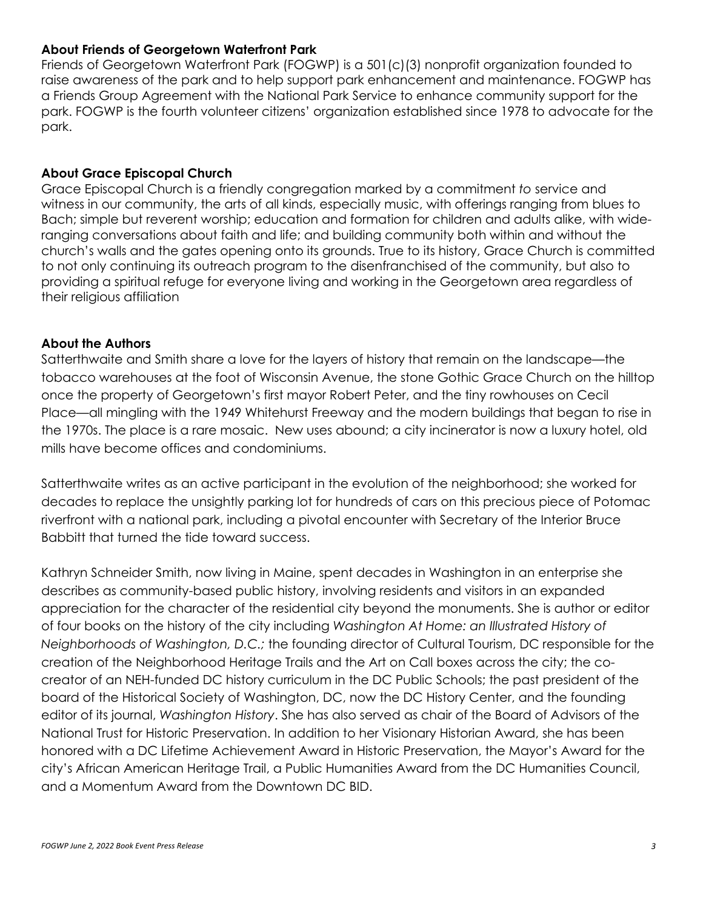### **About Friends of Georgetown Waterfront Park**

Friends of Georgetown Waterfront Park (FOGWP) is a 501(c)(3) nonprofit organization founded to raise awareness of the park and to help support park enhancement and maintenance. FOGWP has a Friends Group Agreement with the National Park Service to enhance community support for the park. FOGWP is the fourth volunteer citizens' organization established since 1978 to advocate for the park.

# **About Grace Episcopal Church**

Grace Episcopal Church is a friendly congregation marked by a commitment *to* service and witness in our community, the arts of all kinds, especially music, with offerings ranging from blues to Bach; simple but reverent worship; education and formation for children and adults alike, with wideranging conversations about faith and life; and building community both within and without the church's walls and the gates opening onto its grounds. True to its history, Grace Church is committed to not only continuing its outreach program to the disenfranchised of the community, but also to providing a spiritual refuge for everyone living and working in the Georgetown area regardless of their religious affiliation

# **About the Authors**

Satterthwaite and Smith share a love for the layers of history that remain on the landscape—the tobacco warehouses at the foot of Wisconsin Avenue, the stone Gothic Grace Church on the hilltop once the property of Georgetown's first mayor Robert Peter, and the tiny rowhouses on Cecil Place—all mingling with the 1949 Whitehurst Freeway and the modern buildings that began to rise in the 1970s. The place is a rare mosaic. New uses abound; a city incinerator is now a luxury hotel, old mills have become offices and condominiums.

Satterthwaite writes as an active participant in the evolution of the neighborhood; she worked for decades to replace the unsightly parking lot for hundreds of cars on this precious piece of Potomac riverfront with a national park, including a pivotal encounter with Secretary of the Interior Bruce Babbitt that turned the tide toward success.

Kathryn Schneider Smith, now living in Maine, spent decades in Washington in an enterprise she describes as community-based public history, involving residents and visitors in an expanded appreciation for the character of the residential city beyond the monuments. She is author or editor of four books on the history of the city including *Washington At Home: an Illustrated History of Neighborhoods of Washington, D.C.;* the founding director of Cultural Tourism, DC responsible for the creation of the Neighborhood Heritage Trails and the Art on Call boxes across the city; the cocreator of an NEH-funded DC history curriculum in the DC Public Schools; the past president of the board of the Historical Society of Washington, DC, now the DC History Center, and the founding editor of its journal, *Washington History*. She has also served as chair of the Board of Advisors of the National Trust for Historic Preservation. In addition to her Visionary Historian Award, she has been honored with a DC Lifetime Achievement Award in Historic Preservation, the Mayor's Award for the city's African American Heritage Trail, a Public Humanities Award from the DC Humanities Council, and a Momentum Award from the Downtown DC BID.